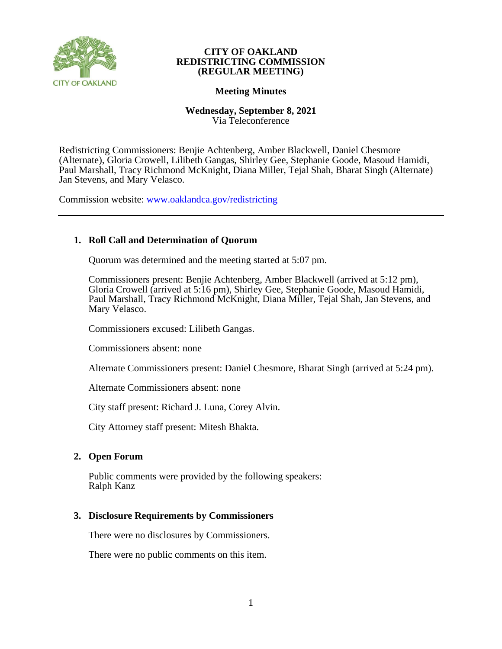

# **Meeting Minutes**

# **Wednesday, September 8, 2021** Via Teleconference

Redistricting Commissioners: Benjie Achtenberg, Amber Blackwell, Daniel Chesmore (Alternate), Gloria Crowell, Lilibeth Gangas, Shirley Gee, Stephanie Goode, Masoud Hamidi, Paul Marshall, Tracy Richmond McKnight, Diana Miller, Tejal Shah, Bharat Singh (Alternate) Jan Stevens, and Mary Velasco.

Commission website: [www.oaklandca.gov/redistricting](https://www.oaklandca.gov/boards-commissions/redistricting-commission/meetings)

# **1. Roll Call and Determination of Quorum**

Quorum was determined and the meeting started at 5:07 pm.

Commissioners present: Benjie Achtenberg, Amber Blackwell (arrived at 5:12 pm), Gloria Crowell (arrived at 5:16 pm), Shirley Gee, Stephanie Goode, Masoud Hamidi, Paul Marshall, Tracy Richmond McKnight, Diana Miller, Tejal Shah, Jan Stevens, and Mary Velasco.

Commissioners excused: Lilibeth Gangas.

Commissioners absent: none

Alternate Commissioners present: Daniel Chesmore, Bharat Singh (arrived at 5:24 pm).

Alternate Commissioners absent: none

City staff present: Richard J. Luna, Corey Alvin.

City Attorney staff present: Mitesh Bhakta.

# **2. Open Forum**

Public comments were provided by the following speakers: Ralph Kanz

# **3. Disclosure Requirements by Commissioners**

There were no disclosures by Commissioners.

There were no public comments on this item.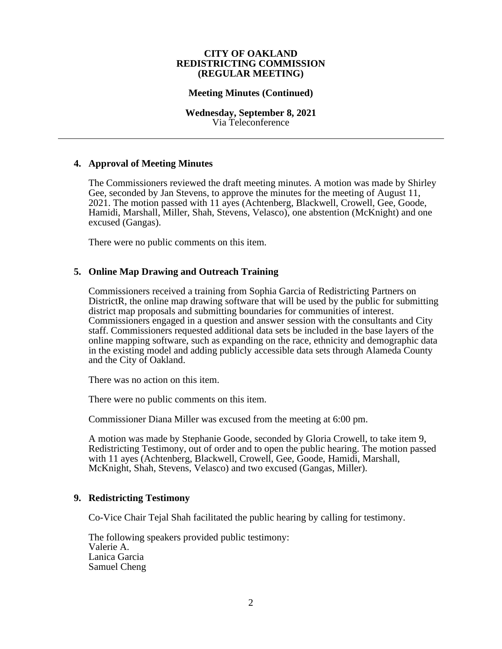## **Meeting Minutes (Continued)**

## **Wednesday, September 8, 2021** Via Teleconference

# **4. Approval of Meeting Minutes**

The Commissioners reviewed the draft meeting minutes. A motion was made by Shirley Gee, seconded by Jan Stevens, to approve the minutes for the meeting of August 11, 2021. The motion passed with 11 ayes (Achtenberg, Blackwell, Crowell, Gee, Goode, Hamidi, Marshall, Miller, Shah, Stevens, Velasco), one abstention (McKnight) and one excused (Gangas).

There were no public comments on this item.

# **5. Online Map Drawing and Outreach Training**

Commissioners received a training from Sophia Garcia of Redistricting Partners on DistrictR, the online map drawing software that will be used by the public for submitting district map proposals and submitting boundaries for communities of interest. Commissioners engaged in a question and answer session with the consultants and City staff. Commissioners requested additional data sets be included in the base layers of the online mapping software, such as expanding on the race, ethnicity and demographic data in the existing model and adding publicly accessible data sets through Alameda County and the City of Oakland.

There was no action on this item.

There were no public comments on this item.

Commissioner Diana Miller was excused from the meeting at 6:00 pm.

A motion was made by Stephanie Goode, seconded by Gloria Crowell, to take item 9, Redistricting Testimony, out of order and to open the public hearing. The motion passed with 11 ayes (Achtenberg, Blackwell, Crowell, Gee, Goode, Hamidi, Marshall, McKnight, Shah, Stevens, Velasco) and two excused (Gangas, Miller).

# **9. Redistricting Testimony**

Co-Vice Chair Tejal Shah facilitated the public hearing by calling for testimony.

The following speakers provided public testimony: Valerie A. Lanica Garcia Samuel Cheng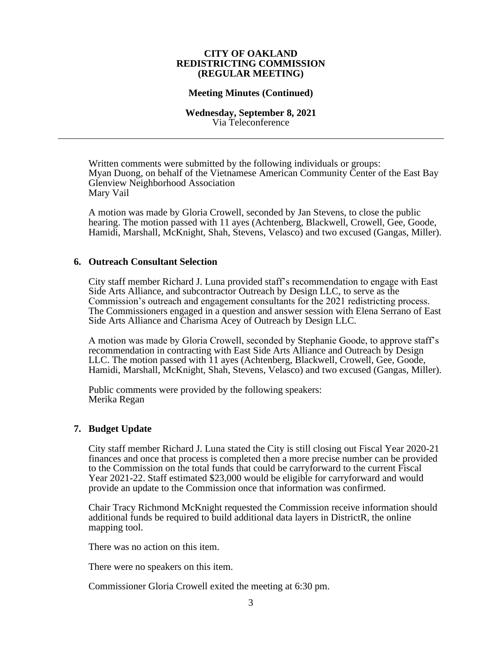## **Meeting Minutes (Continued)**

#### **Wednesday, September 8, 2021** Via Teleconference

Written comments were submitted by the following individuals or groups: Myan Duong, on behalf of the Vietnamese American Community Center of the East Bay Glenview Neighborhood Association Mary Vail

A motion was made by Gloria Crowell, seconded by Jan Stevens, to close the public hearing. The motion passed with 11 ayes (Achtenberg, Blackwell, Crowell, Gee, Goode, Hamidi, Marshall, McKnight, Shah, Stevens, Velasco) and two excused (Gangas, Miller).

## **6. Outreach Consultant Selection**

City staff member Richard J. Luna provided staff's recommendation to engage with East Side Arts Alliance, and subcontractor Outreach by Design LLC, to serve as the Commission's outreach and engagement consultants for the 2021 redistricting process. The Commissioners engaged in a question and answer session with Elena Serrano of East Side Arts Alliance and Charisma Acey of Outreach by Design LLC.

A motion was made by Gloria Crowell, seconded by Stephanie Goode, to approve staff's recommendation in contracting with East Side Arts Alliance and Outreach by Design LLC. The motion passed with 11 ayes (Achtenberg, Blackwell, Crowell, Gee, Goode, Hamidi, Marshall, McKnight, Shah, Stevens, Velasco) and two excused (Gangas, Miller).

Public comments were provided by the following speakers: Merika Regan

# **7. Budget Update**

City staff member Richard J. Luna stated the City is still closing out Fiscal Year 2020-21 finances and once that process is completed then a more precise number can be provided to the Commission on the total funds that could be carryforward to the current Fiscal Year 2021-22. Staff estimated \$23,000 would be eligible for carryforward and would provide an update to the Commission once that information was confirmed.

Chair Tracy Richmond McKnight requested the Commission receive information should additional funds be required to build additional data layers in DistrictR, the online mapping tool.

There was no action on this item.

There were no speakers on this item.

Commissioner Gloria Crowell exited the meeting at 6:30 pm.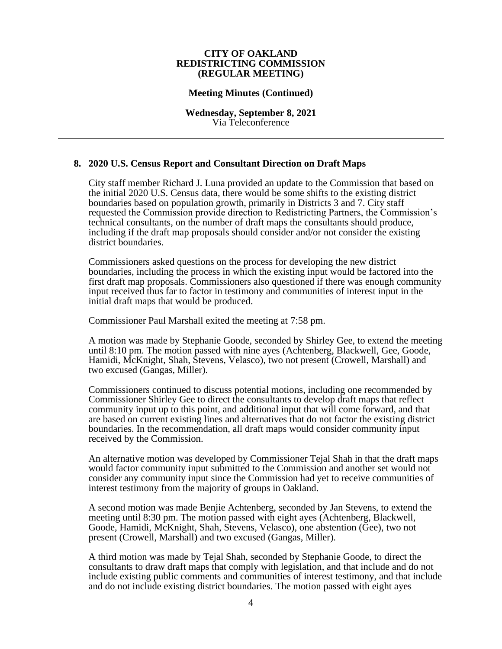## **Meeting Minutes (Continued)**

**Wednesday, September 8, 2021** Via Teleconference

## **8. 2020 U.S. Census Report and Consultant Direction on Draft Maps**

City staff member Richard J. Luna provided an update to the Commission that based on the initial 2020 U.S. Census data, there would be some shifts to the existing district boundaries based on population growth, primarily in Districts 3 and 7. City staff requested the Commission provide direction to Redistricting Partners, the Commission's technical consultants, on the number of draft maps the consultants should produce, including if the draft map proposals should consider and/or not consider the existing district boundaries.

Commissioners asked questions on the process for developing the new district boundaries, including the process in which the existing input would be factored into the first draft map proposals. Commissioners also questioned if there was enough community input received thus far to factor in testimony and communities of interest input in the initial draft maps that would be produced.

Commissioner Paul Marshall exited the meeting at 7:58 pm.

A motion was made by Stephanie Goode, seconded by Shirley Gee, to extend the meeting until 8:10 pm. The motion passed with nine ayes (Achtenberg, Blackwell, Gee, Goode, Hamidi, McKnight, Shah, Stevens, Velasco), two not present (Crowell, Marshall) and two excused (Gangas, Miller).

Commissioners continued to discuss potential motions, including one recommended by Commissioner Shirley Gee to direct the consultants to develop draft maps that reflect community input up to this point, and additional input that will come forward, and that are based on current existing lines and alternatives that do not factor the existing district boundaries. In the recommendation, all draft maps would consider community input received by the Commission.

An alternative motion was developed by Commissioner Tejal Shah in that the draft maps would factor community input submitted to the Commission and another set would not consider any community input since the Commission had yet to receive communities of interest testimony from the majority of groups in Oakland.

A second motion was made Benjie Achtenberg, seconded by Jan Stevens, to extend the meeting until 8:30 pm. The motion passed with eight ayes (Achtenberg, Blackwell, Goode, Hamidi, McKnight, Shah, Stevens, Velasco), one abstention (Gee), two not present (Crowell, Marshall) and two excused (Gangas, Miller).

A third motion was made by Tejal Shah, seconded by Stephanie Goode, to direct the consultants to draw draft maps that comply with legislation, and that include and do not include existing public comments and communities of interest testimony, and that include and do not include existing district boundaries. The motion passed with eight ayes